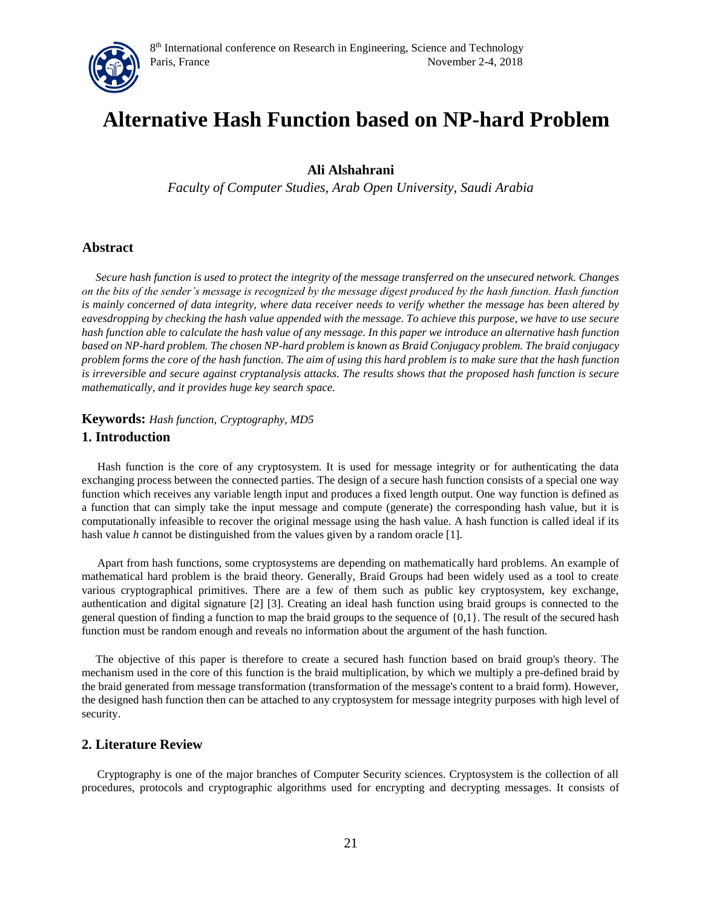

# **Alternative Hash Function based on NP-hard Problem**

# **Ali Alshahrani**

*Faculty of Computer Studies, Arab Open University, Saudi Arabia* 

### **Abstract**

*Secure hash function is used to protect the integrity of the message transferred on the unsecured network. Changes on the bits of the sender's message is recognized by the message digest produced by the hash function. Hash function is mainly concerned of data integrity, where data receiver needs to verify whether the message has been altered by*  eavesdropping by checking the hash value appended with the message. To achieve this purpose, we have to use secure *hash function able to calculate the hash value of any message. In this paper we introduce an alternative hash function based on NP-hard problem. The chosen NP-hard problem is known as Braid Conjugacy problem. The braid conjugacy problem forms the core of the hash function. The aim of using this hard problem is to make sure that the hash function is irreversible and secure against cryptanalysis attacks. The results shows that the proposed hash function is secure mathematically, and it provides huge key search space.* 

**Keywords:** *Hash function, Cryptography, MD5* 

## **1. Introduction**

Hash function is the core of any cryptosystem. It is used for message integrity or for authenticating the data exchanging process between the connected parties. The design of a secure hash function consists of a special one way function which receives any variable length input and produces a fixed length output. One way function is defined as a function that can simply take the input message and compute (generate) the corresponding hash value, but it is computationally infeasible to recover the original message using the hash value. A hash function is called ideal if its hash value *h* cannot be distinguished from the values given by a random oracle [1].

Apart from hash functions, some cryptosystems are depending on mathematically hard problems. An example of mathematical hard problem is the braid theory. Generally, Braid Groups had been widely used as a tool to create various cryptographical primitives. There are a few of them such as public key cryptosystem, key exchange, authentication and digital signature [2] [3]. Creating an ideal hash function using braid groups is connected to the general question of finding a function to map the braid groups to the sequence of {0,1}. The result of the secured hash function must be random enough and reveals no information about the argument of the hash function.

The objective of this paper is therefore to create a secured hash function based on braid group's theory. The mechanism used in the core of this function is the braid multiplication, by which we multiply a pre-defined braid by the braid generated from message transformation (transformation of the message's content to a braid form). However, the designed hash function then can be attached to any cryptosystem for message integrity purposes with high level of security.

## **2. Literature Review**

Cryptography is one of the major branches of Computer Security sciences. Cryptosystem is the collection of all procedures, protocols and cryptographic algorithms used for encrypting and decrypting messages. It consists of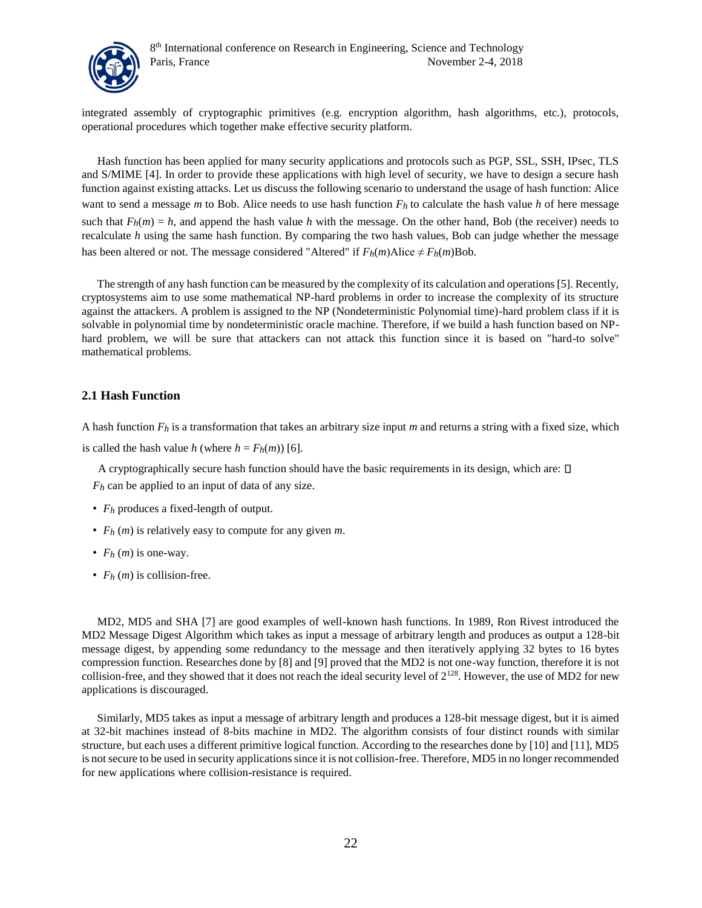

integrated assembly of cryptographic primitives (e.g. encryption algorithm, hash algorithms, etc.), protocols, operational procedures which together make effective security platform.

Hash function has been applied for many security applications and protocols such as PGP, SSL, SSH, IPsec, TLS and S/MIME [4]. In order to provide these applications with high level of security, we have to design a secure hash function against existing attacks. Let us discuss the following scenario to understand the usage of hash function: Alice want to send a message *m* to Bob. Alice needs to use hash function  $F_h$  to calculate the hash value *h* of here message such that  $F_h(m) = h$ , and append the hash value *h* with the message. On the other hand, Bob (the receiver) needs to recalculate *h* using the same hash function. By comparing the two hash values, Bob can judge whether the message has been altered or not. The message considered "Altered" if  $F_h(m)$ Alice  $\neq F_h(m)$ Bob.

The strength of any hash function can be measured by the complexity of its calculation and operations [5]. Recently, cryptosystems aim to use some mathematical NP-hard problems in order to increase the complexity of its structure against the attackers. A problem is assigned to the NP (Nondeterministic Polynomial time)-hard problem class if it is solvable in polynomial time by nondeterministic oracle machine. Therefore, if we build a hash function based on NPhard problem, we will be sure that attackers can not attack this function since it is based on "hard-to solve" mathematical problems.

### **2.1 Hash Function**

A hash function *Fh* is a transformation that takes an arbitrary size input *m* and returns a string with a fixed size, which

is called the hash value *h* (where  $h = F_h(m)$ ) [6].

A cryptographically secure hash function should have the basic requirements in its design, which are:  $\square$ *Fh* can be applied to an input of data of any size.

- *Fh* produces a fixed-length of output.
- *Fh* (*m*) is relatively easy to compute for any given *m*.
- *Fh* (*m*) is one-way.
- $F_h(m)$  is collision-free.

MD2, MD5 and SHA [7] are good examples of well-known hash functions. In 1989, Ron Rivest introduced the MD2 Message Digest Algorithm which takes as input a message of arbitrary length and produces as output a 128-bit message digest, by appending some redundancy to the message and then iteratively applying 32 bytes to 16 bytes compression function. Researches done by [8] and [9] proved that the MD2 is not one-way function, therefore it is not collision-free, and they showed that it does not reach the ideal security level of  $2^{128}$ . However, the use of MD2 for new applications is discouraged.

Similarly, MD5 takes as input a message of arbitrary length and produces a 128-bit message digest, but it is aimed at 32-bit machines instead of 8-bits machine in MD2. The algorithm consists of four distinct rounds with similar structure, but each uses a different primitive logical function. According to the researches done by [10] and [11], MD5 is not secure to be used in security applications since it is not collision-free. Therefore, MD5 in no longer recommended for new applications where collision-resistance is required.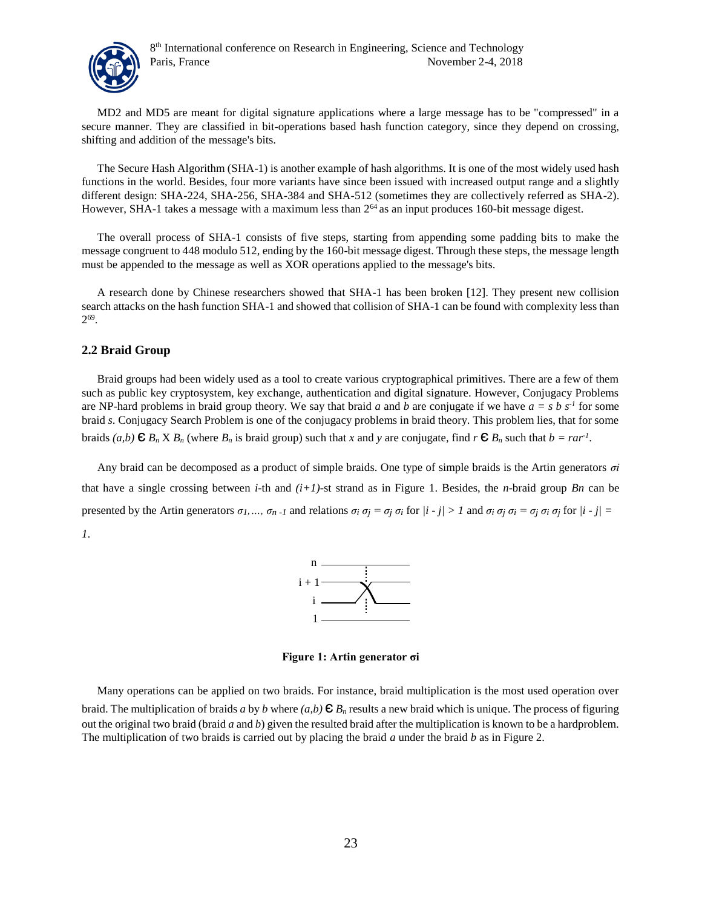

MD2 and MD5 are meant for digital signature applications where a large message has to be "compressed" in a secure manner. They are classified in bit-operations based hash function category, since they depend on crossing, shifting and addition of the message's bits.

The Secure Hash Algorithm (SHA-1) is another example of hash algorithms. It is one of the most widely used hash functions in the world. Besides, four more variants have since been issued with increased output range and a slightly different design: SHA-224, SHA-256, SHA-384 and SHA-512 (sometimes they are collectively referred as SHA-2). However, SHA-1 takes a message with a maximum less than  $2^{64}$  as an input produces 160-bit message digest.

The overall process of SHA-1 consists of five steps, starting from appending some padding bits to make the message congruent to 448 modulo 512, ending by the 160-bit message digest. Through these steps, the message length must be appended to the message as well as XOR operations applied to the message's bits.

A research done by Chinese researchers showed that SHA-1 has been broken [12]. They present new collision search attacks on the hash function SHA-1 and showed that collision of SHA-1 can be found with complexity less than 2 69 .

## **2.2 Braid Group**

Braid groups had been widely used as a tool to create various cryptographical primitives. There are a few of them such as public key cryptosystem, key exchange, authentication and digital signature. However, Conjugacy Problems are NP-hard problems in braid group theory. We say that braid *a* and *b* are conjugate if we have  $a = s b s<sup>-1</sup>$  for some braid *s*. Conjugacy Search Problem is one of the conjugacy problems in braid theory. This problem lies, that for some braids  $(a,b) \in B_n \times B_n$  (where  $B_n$  is braid group) such that *x* and *y* are conjugate, find  $r \in B_n$  such that  $b = r a r^1$ .

Any braid can be decomposed as a product of simple braids. One type of simple braids is the Artin generators *σi* that have a single crossing between *i*-th and  $(i+1)$ -st strand as in Figure 1. Besides, the *n*-braid group *Bn* can be presented by the Artin generators  $\sigma_l$ ,...,  $\sigma_n$ -*l* and relations  $\sigma_i \sigma_j = \sigma_j \sigma_i$  for  $|i \cdot j| > l$  and  $\sigma_i \sigma_j \sigma_i = \sigma_j \sigma_i \sigma_j$  for  $|i \cdot j| =$ *1*.



**Figure 1: Artin generator σi** 

Many operations can be applied on two braids. For instance, braid multiplication is the most used operation over braid. The multiplication of braids *a* by *b* where  $(a,b) \in B_n$  results a new braid which is unique. The process of figuring out the original two braid (braid *a* and *b*) given the resulted braid after the multiplication is known to be a hardproblem. The multiplication of two braids is carried out by placing the braid *a* under the braid *b* as in Figure 2.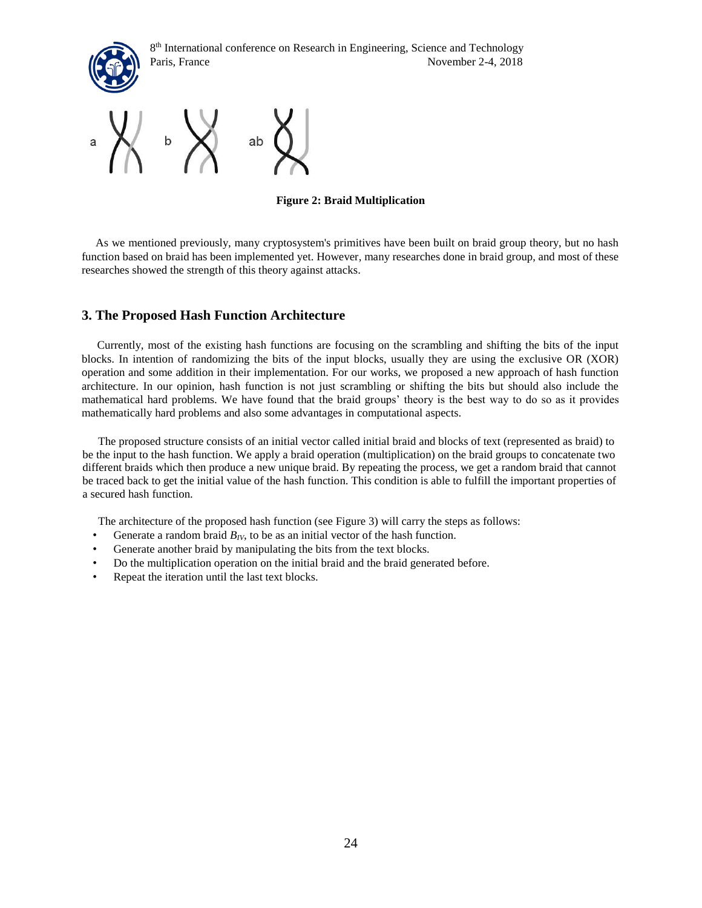



**Figure 2: Braid Multiplication** 

As we mentioned previously, many cryptosystem's primitives have been built on braid group theory, but no hash function based on braid has been implemented yet. However, many researches done in braid group, and most of these researches showed the strength of this theory against attacks.

# **3. The Proposed Hash Function Architecture**

Currently, most of the existing hash functions are focusing on the scrambling and shifting the bits of the input blocks. In intention of randomizing the bits of the input blocks, usually they are using the exclusive OR (XOR) operation and some addition in their implementation. For our works, we proposed a new approach of hash function architecture. In our opinion, hash function is not just scrambling or shifting the bits but should also include the mathematical hard problems. We have found that the braid groups' theory is the best way to do so as it provides mathematically hard problems and also some advantages in computational aspects.

The proposed structure consists of an initial vector called initial braid and blocks of text (represented as braid) to be the input to the hash function. We apply a braid operation (multiplication) on the braid groups to concatenate two different braids which then produce a new unique braid. By repeating the process, we get a random braid that cannot be traced back to get the initial value of the hash function. This condition is able to fulfill the important properties of a secured hash function.

The architecture of the proposed hash function (see Figure 3) will carry the steps as follows:

- Generate a random braid  $B_{IV}$ , to be as an initial vector of the hash function.
- Generate another braid by manipulating the bits from the text blocks.
- Do the multiplication operation on the initial braid and the braid generated before.
- Repeat the iteration until the last text blocks.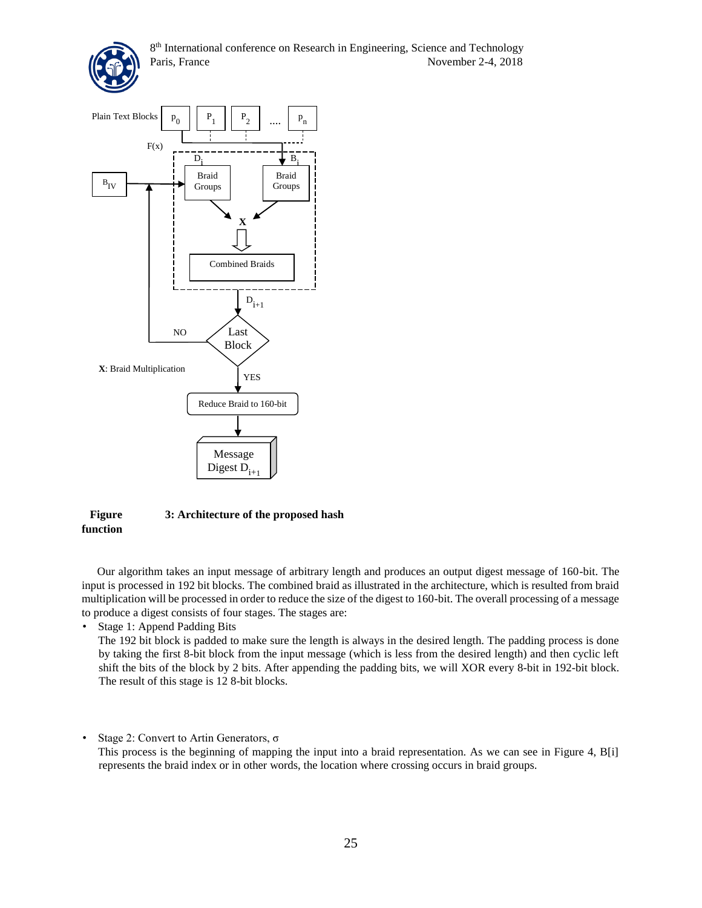



### **Figure 3: Architecture of the proposed hash function**

Our algorithm takes an input message of arbitrary length and produces an output digest message of 160-bit. The input is processed in 192 bit blocks. The combined braid as illustrated in the architecture, which is resulted from braid multiplication will be processed in order to reduce the size of the digest to 160-bit. The overall processing of a message to produce a digest consists of four stages. The stages are:

• Stage 1: Append Padding Bits

The 192 bit block is padded to make sure the length is always in the desired length. The padding process is done by taking the first 8-bit block from the input message (which is less from the desired length) and then cyclic left shift the bits of the block by 2 bits. After appending the padding bits, we will XOR every 8-bit in 192-bit block. The result of this stage is 12 8-bit blocks.

• Stage 2: Convert to Artin Generators, σ

This process is the beginning of mapping the input into a braid representation. As we can see in Figure 4, B[i] represents the braid index or in other words, the location where crossing occurs in braid groups.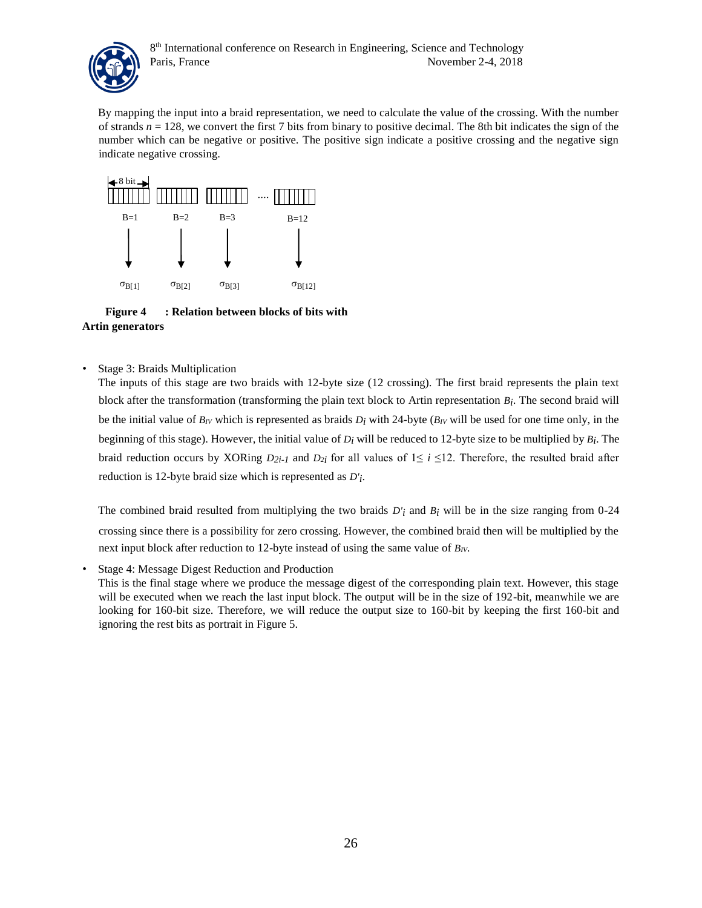

By mapping the input into a braid representation, we need to calculate the value of the crossing. With the number of strands  $n = 128$ , we convert the first 7 bits from binary to positive decimal. The 8th bit indicates the sign of the number which can be negative or positive. The positive sign indicate a positive crossing and the negative sign indicate negative crossing.



 **Figure 4 : Relation between blocks of bits with Artin generators** 

• Stage 3: Braids Multiplication

The inputs of this stage are two braids with 12-byte size (12 crossing). The first braid represents the plain text block after the transformation (transforming the plain text block to Artin representation *Bi* . The second braid will be the initial value of  $B_V$  which is represented as braids  $D_i$  with 24-byte ( $B_V$  will be used for one time only, in the beginning of this stage). However, the initial value of *Di* will be reduced to 12-byte size to be multiplied by *Bi* . The braid reduction occurs by XORing  $D_{2i-1}$  and  $D_{2i}$  for all values of  $1 \le i \le 12$ . Therefore, the resulted braid after reduction is 12-byte braid size which is represented as *D'i* .

The combined braid resulted from multiplying the two braids *D'i* and *Bi* will be in the size ranging from 0-24 crossing since there is a possibility for zero crossing. However, the combined braid then will be multiplied by the next input block after reduction to 12-byte instead of using the same value of *BIV*.

• Stage 4: Message Digest Reduction and Production

This is the final stage where we produce the message digest of the corresponding plain text. However, this stage will be executed when we reach the last input block. The output will be in the size of 192-bit, meanwhile we are looking for 160-bit size. Therefore, we will reduce the output size to 160-bit by keeping the first 160-bit and ignoring the rest bits as portrait in Figure 5.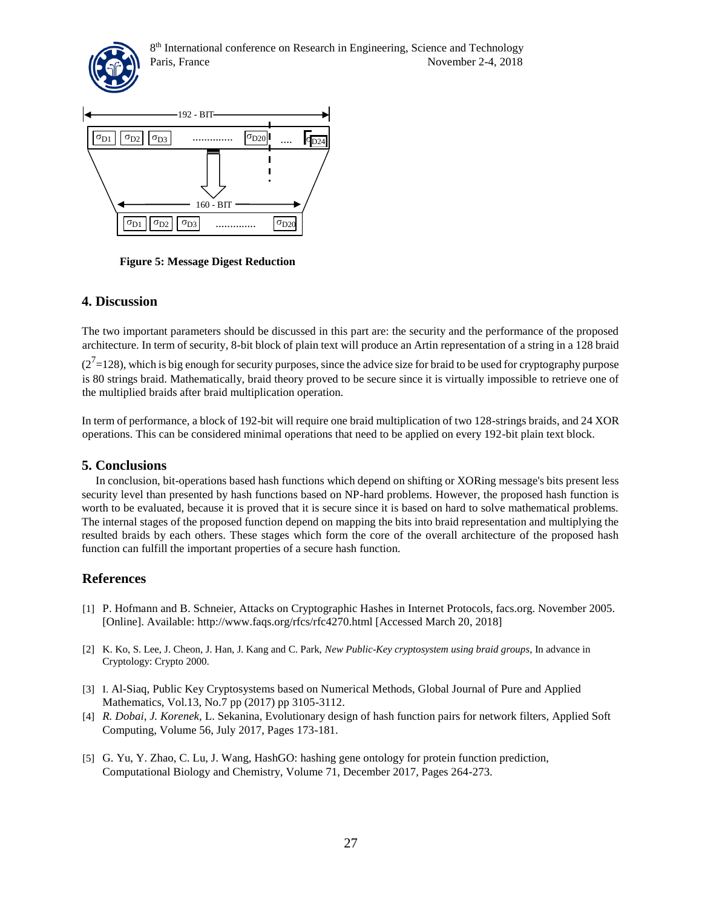



**Figure 5: Message Digest Reduction**

# **4. Discussion**

The two important parameters should be discussed in this part are: the security and the performance of the proposed architecture. In term of security, 8-bit block of plain text will produce an Artin representation of a string in a 128 braid

 $(2<sup>7</sup>=128)$ , which is big enough for security purposes, since the advice size for braid to be used for cryptography purpose is 80 strings braid. Mathematically, braid theory proved to be secure since it is virtually impossible to retrieve one of the multiplied braids after braid multiplication operation.

In term of performance, a block of 192-bit will require one braid multiplication of two 128-strings braids, and 24 XOR operations. This can be considered minimal operations that need to be applied on every 192-bit plain text block.

# **5. Conclusions**

In conclusion, bit-operations based hash functions which depend on shifting or XORing message's bits present less security level than presented by hash functions based on NP-hard problems. However, the proposed hash function is worth to be evaluated, because it is proved that it is secure since it is based on hard to solve mathematical problems. The internal stages of the proposed function depend on mapping the bits into braid representation and multiplying the resulted braids by each others. These stages which form the core of the overall architecture of the proposed hash function can fulfill the important properties of a secure hash function.

# **References**

- [1] P. Hofmann and B. Schneier, Attacks on Cryptographic Hashes in Internet Protocols, facs.org. November 2005. [Online]. Available: http://www.faqs.org/rfcs/rfc4270.html [Accessed March 20, 2018]
- [2] K. Ko, S. Lee, J. Cheon, J. Han, J. Kang and C. Park, *New Public-Key cryptosystem using braid groups*, In advance in Cryptology: Crypto 2000.
- [3] I. Al-Siaq, Public Key Cryptosystems based on Numerical Methods, Global Journal of Pure and Applied Mathematics, Vol.13, No.7 pp (2017) pp 3105-3112.
- [4] *R. Dobai, J. Korenek,* L. Sekanina, Evolutionary design of hash function pairs for network filters, Applied Soft Computing, Volume 56, July 2017, Pages 173-181.
- [5] G. Yu, Y. Zhao, C. Lu, J. Wang, HashGO: hashing gene ontology for protein function prediction, Computational Biology and Chemistry, Volume 71, December 2017, Pages 264-273.